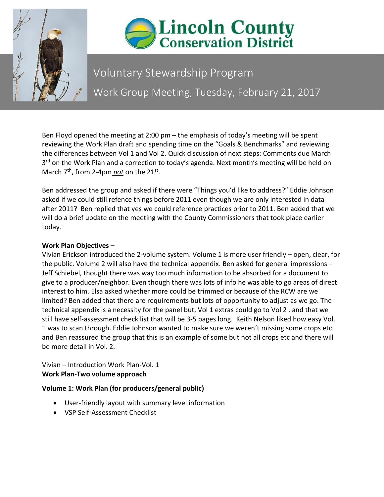



# Voluntary Stewardship Program Work Group Meeting, Tuesday, February 21, 2017

Ben Floyd opened the meeting at 2:00 pm – the emphasis of today's meeting will be spent reviewing the Work Plan draft and spending time on the "Goals & Benchmarks" and reviewing the differences between Vol 1 and Vol 2. Quick discussion of next steps: Comments due March 3<sup>rd</sup> on the Work Plan and a correction to today's agenda. Next month's meeting will be held on March 7<sup>th</sup>, from 2-4pm *not* on the 21<sup>st</sup>.

Ben addressed the group and asked if there were "Things you'd like to address?" Eddie Johnson asked if we could still refence things before 2011 even though we are only interested in data after 2011? Ben replied that yes we could reference practices prior to 2011. Ben added that we will do a brief update on the meeting with the County Commissioners that took place earlier today.

# **Work Plan Objectives –**

Vivian Erickson introduced the 2-volume system. Volume 1 is more user friendly – open, clear, for the public. Volume 2 will also have the technical appendix. Ben asked for general impressions – Jeff Schiebel, thought there was way too much information to be absorbed for a document to give to a producer/neighbor. Even though there was lots of info he was able to go areas of direct interest to him. Elsa asked whether more could be trimmed or because of the RCW are we limited? Ben added that there are requirements but lots of opportunity to adjust as we go. The technical appendix is a necessity for the panel but, Vol 1 extras could go to Vol 2 . and that we still have self-assessment check list that will be 3-5 pages long. Keith Nelson liked how easy Vol. 1 was to scan through. Eddie Johnson wanted to make sure we weren't missing some crops etc. and Ben reassured the group that this is an example of some but not all crops etc and there will be more detail in Vol. 2.

Vivian – Introduction Work Plan-Vol. 1 **Work Plan-Two volume approach** 

# **Volume 1: Work Plan (for producers/general public)**

- User-friendly layout with summary level information
- VSP Self-Assessment Checklist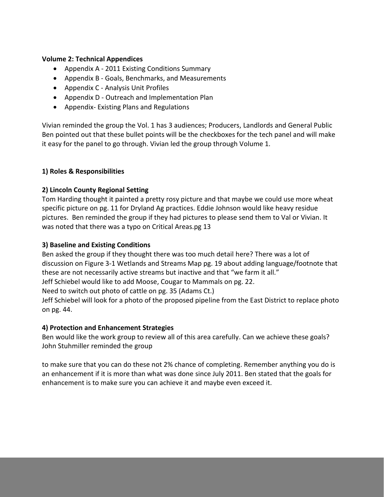#### **Volume 2: Technical Appendices**

- Appendix A 2011 Existing Conditions Summary
- Appendix B Goals, Benchmarks, and Measurements
- Appendix C Analysis Unit Profiles
- Appendix D Outreach and Implementation Plan
- Appendix- Existing Plans and Regulations

Vivian reminded the group the Vol. 1 has 3 audiences; Producers, Landlords and General Public Ben pointed out that these bullet points will be the checkboxes for the tech panel and will make it easy for the panel to go through. Vivian led the group through Volume 1.

#### **1) Roles & Responsibilities**

# **2) Lincoln County Regional Setting**

Tom Harding thought it painted a pretty rosy picture and that maybe we could use more wheat specific picture on pg. 11 for Dryland Ag practices. Eddie Johnson would like heavy residue pictures. Ben reminded the group if they had pictures to please send them to Val or Vivian. It was noted that there was a typo on Critical Areas.pg 13

#### **3) Baseline and Existing Conditions**

Ben asked the group if they thought there was too much detail here? There was a lot of discussion on Figure 3-1 Wetlands and Streams Map pg. 19 about adding language/footnote that these are not necessarily active streams but inactive and that "we farm it all." Jeff Schiebel would like to add Moose, Cougar to Mammals on pg. 22.

Need to switch out photo of cattle on pg. 35 (Adams Ct.)

Jeff Schiebel will look for a photo of the proposed pipeline from the East District to replace photo on pg. 44.

# **4) Protection and Enhancement Strategies**

Ben would like the work group to review all of this area carefully. Can we achieve these goals? John Stuhmiller reminded the group

to make sure that you can do these not 2% chance of completing. Remember anything you do is an enhancement if it is more than what was done since July 2011. Ben stated that the goals for enhancement is to make sure you can achieve it and maybe even exceed it.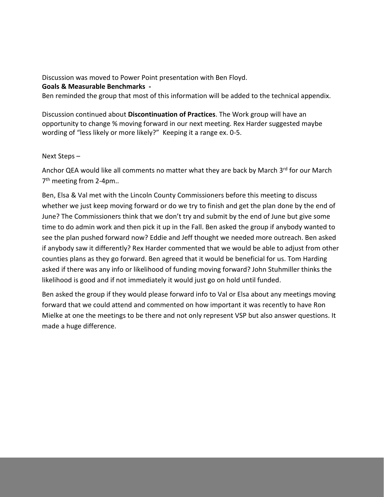Discussion was moved to Power Point presentation with Ben Floyd. **Goals & Measurable Benchmarks -**

Ben reminded the group that most of this information will be added to the technical appendix.

Discussion continued about **Discontinuation of Practices**. The Work group will have an opportunity to change % moving forward in our next meeting. Rex Harder suggested maybe wording of "less likely or more likely?" Keeping it a range ex. 0-5.

# Next Steps –

Anchor QEA would like all comments no matter what they are back by March 3rd for our March 7<sup>th</sup> meeting from 2-4pm..

Ben, Elsa & Val met with the Lincoln County Commissioners before this meeting to discuss whether we just keep moving forward or do we try to finish and get the plan done by the end of June? The Commissioners think that we don't try and submit by the end of June but give some time to do admin work and then pick it up in the Fall. Ben asked the group if anybody wanted to see the plan pushed forward now? Eddie and Jeff thought we needed more outreach. Ben asked if anybody saw it differently? Rex Harder commented that we would be able to adjust from other counties plans as they go forward. Ben agreed that it would be beneficial for us. Tom Harding asked if there was any info or likelihood of funding moving forward? John Stuhmiller thinks the likelihood is good and if not immediately it would just go on hold until funded.

Ben asked the group if they would please forward info to Val or Elsa about any meetings moving forward that we could attend and commented on how important it was recently to have Ron Mielke at one the meetings to be there and not only represent VSP but also answer questions. It made a huge difference.